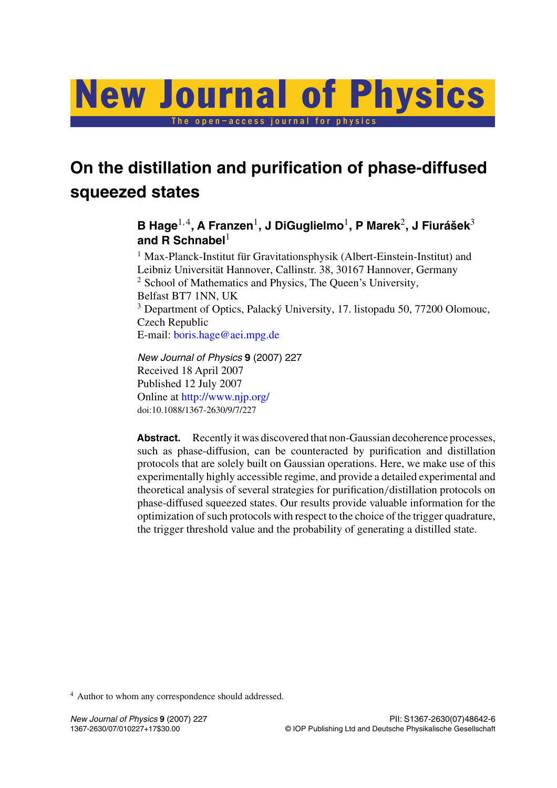# The open–access journal for physics New Journal of Physics

## **On the distillation and purification of phase-diffused squeezed states**

### **B Hage**<sup>1,4</sup>, A Franzen<sup>1</sup>, J DiGuglielmo<sup>1</sup>, P Marek<sup>2</sup>, J Fiurášek<sup>3</sup> **and R Schnabel**<sup>1</sup>

<sup>1</sup> Max-Planck-Institut für Gravitationsphysik (Albert-Einstein-Institut) and Leibniz Universität Hannover, Callinstr. 38, 30167 Hannover, Germany <sup>2</sup> School of Mathematics and Physics, The Queen's University, Belfast BT7 1NN, UK <sup>3</sup> Department of Optics, Palacký University, 17. listopadu 50, 77200 Olomouc, Czech Republic E-mail: [boris.hage@aei.mpg.de](mailto:boris.hage@aei.mpg.de)

*New Journal of Physics* **9** (2007) 227 Received 18 April 2007 Published 12 July 2007 Online at <http://www.njp.org/> doi:10.1088/1367-2630/9/7/227

Abstract. Recently it was discovered that non-Gaussian decoherence processes, such as phase-diffusion, can be counteracted by purification and distillation protocols that are solely built on Gaussian operations. Here, we make use of this experimentally highly accessible regime, and provide a detailed experimental and theoretical analysis of several strategies for purification*/*distillation protocols on phase-diffused squeezed states. Our results provide valuable information for the optimization of such protocols with respect to the choice of the trigger quadrature, the trigger threshold value and the probability of generating a distilled state.

<sup>4</sup> Author to whom any correspondence should addressed.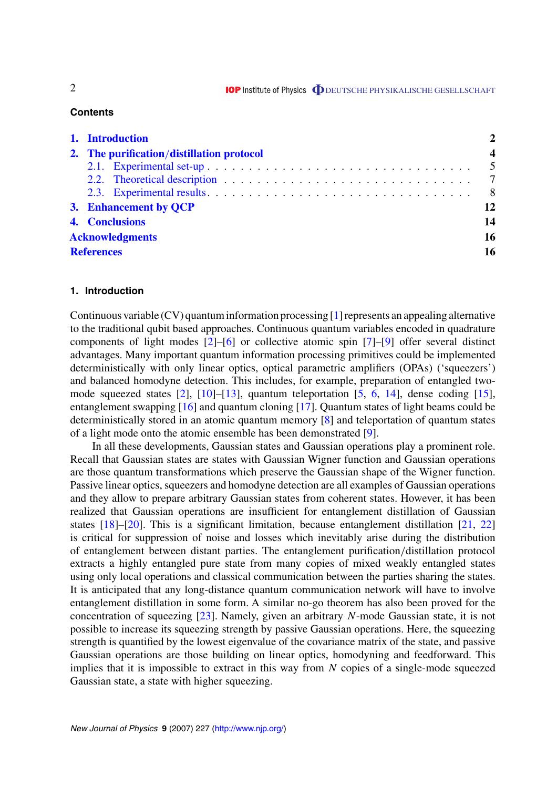$2$  **IOP** Institute of Physics  $\Phi$  DEUTSCHE PHYSIKALISCHE GESELLSCHAFT

#### **Contents**

| 1. Introduction |                                           |  |                |
|-----------------|-------------------------------------------|--|----------------|
|                 | 2. The purification/distillation protocol |  |                |
|                 |                                           |  |                |
|                 |                                           |  |                |
|                 |                                           |  | 8 <sup>8</sup> |
|                 | 3. Enhancement by QCP                     |  | 12             |
|                 | 4. Conclusions                            |  | 14             |
|                 | <b>Acknowledgments</b>                    |  |                |
|                 | <b>References</b>                         |  |                |

#### **1. Introduction**

Continuous variable (CV) quantum information processing [\[1](#page-15-0)] represents an appealing alternative to the traditional qubit based approaches. Continuous quantum variables encoded in quadrature components of light modes [[2\]](#page-15-0)–[[6\]](#page-15-0) or collective atomic spin [\[7](#page-15-0)]–[\[9](#page-15-0)] offer several distinct advantages. Many important quantum information processing primitives could be implemented deterministically with only linear optics, optical parametric amplifiers (OPAs) ('squeezers') and balanced homodyne detection. This includes, for example, preparation of entangled twomode squeezed states [\[2](#page-15-0)], [[10\]](#page-15-0)–[[13\]](#page-15-0), quantum teleportation [\[5](#page-15-0), [6,](#page-15-0) [14](#page-15-0)], dense coding [\[15](#page-16-0)], entanglement swapping [\[16](#page-16-0)] and quantum cloning [\[17](#page-16-0)]. Quantum states of light beams could be deterministically stored in an atomic quantum memory [[8\]](#page-15-0) and teleportation of quantum states of a light mode onto the atomic ensemble has been demonstrated [\[9](#page-15-0)].

In all these developments, Gaussian states and Gaussian operations play a prominent role. Recall that Gaussian states are states with Gaussian Wigner function and Gaussian operations are those quantum transformations which preserve the Gaussian shape of the Wigner function. Passive linear optics, squeezers and homodyne detection are all examples of Gaussian operations and they allow to prepare arbitrary Gaussian states from coherent states. However, it has been realized that Gaussian operations are insufficient for entanglement distillation of Gaussian states [[18\]](#page-16-0)–[[20\]](#page-16-0). This is a significant limitation, because entanglement distillation [\[21](#page-16-0), [22](#page-16-0)] is critical for suppression of noise and losses which inevitably arise during the distribution of entanglement between distant parties. The entanglement purification*/*distillation protocol extracts a highly entangled pure state from many copies of mixed weakly entangled states using only local operations and classical communication between the parties sharing the states. It is anticipated that any long-distance quantum communication network will have to involve entanglement distillation in some form. A similar no-go theorem has also been proved for the concentration of squeezing [[23\]](#page-16-0). Namely, given an arbitrary *N*-mode Gaussian state, it is not possible to increase its squeezing strength by passive Gaussian operations. Here, the squeezing strength is quantified by the lowest eigenvalue of the covariance matrix of the state, and passive Gaussian operations are those building on linear optics, homodyning and feedforward. This implies that it is impossible to extract in this way from *N* copies of a single-mode squeezed Gaussian state, a state with higher squeezing.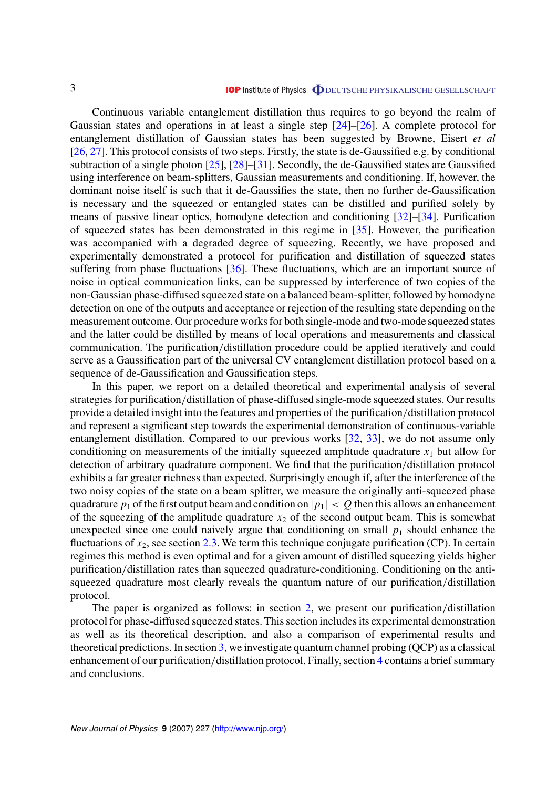<span id="page-2-0"></span>Continuous variable entanglement distillation thus requires to go beyond the realm of Gaussian states and operations in at least a single step [\[24\]](#page-16-0)–[[26\]](#page-16-0). A complete protocol for entanglement distillation of Gaussian states has been suggested by Browne, Eisert *et al* [[26,](#page-16-0) [27](#page-16-0)]. This protocol consists of two steps. Firstly, the state is de-Gaussified e.g. by conditional subtraction of a single photon [\[25](#page-16-0)], [[28\]](#page-16-0)–[[31\]](#page-16-0). Secondly, the de-Gaussified states are Gaussified using interference on beam-splitters, Gaussian measurements and conditioning. If, however, the dominant noise itself is such that it de-Gaussifies the state, then no further de-Gaussification is necessary and the squeezed or entangled states can be distilled and purified solely by means of passive linear optics, homodyne detection and conditioning [\[32](#page-16-0)]–[\[34](#page-16-0)]. Purification of squeezed states has been demonstrated in this regime in [\[35](#page-16-0)]. However, the purification was accompanied with a degraded degree of squeezing. Recently, we have proposed and experimentally demonstrated a protocol for purification and distillation of squeezed states suffering from phase fluctuations [[36\]](#page-16-0). These fluctuations, which are an important source of noise in optical communication links, can be suppressed by interference of two copies of the non-Gaussian phase-diffused squeezed state on a balanced beam-splitter, followed by homodyne detection on one of the outputs and acceptance or rejection of the resulting state depending on the measurement outcome. Our procedure works for both single-mode and two-mode squeezed states and the latter could be distilled by means of local operations and measurements and classical communication. The purification*/*distillation procedure could be applied iteratively and could serve as a Gaussification part of the universal CV entanglement distillation protocol based on a sequence of de-Gaussification and Gaussification steps.

In this paper, we report on a detailed theoretical and experimental analysis of several strategies for purification*/*distillation of phase-diffused single-mode squeezed states. Our results provide a detailed insight into the features and properties of the purification*/*distillation protocol and represent a significant step towards the experimental demonstration of continuous-variable entanglement distillation. Compared to our previous works [\[32](#page-16-0), [33](#page-16-0)], we do not assume only conditioning on measurements of the initially squeezed amplitude quadrature  $x_1$  but allow for detection of arbitrary quadrature component. We find that the purification*/*distillation protocol exhibits a far greater richness than expected. Surprisingly enough if, after the interference of the two noisy copies of the state on a beam splitter, we measure the originally anti-squeezed phase quadrature  $p_1$  of the first output beam and condition on  $|p_1| < Q$  then this allows an enhancement of the squeezing of the amplitude quadrature  $x_2$  of the second output beam. This is somewhat unexpected since one could naively argue that conditioning on small  $p_1$  should enhance the fluctuations of  $x_2$ , see section [2.3.](#page-7-0) We term this technique conjugate purification (CP). In certain regimes this method is even optimal and for a given amount of distilled squeezing yields higher purification*/*distillation rates than squeezed quadrature-conditioning. Conditioning on the antisqueezed quadrature most clearly reveals the quantum nature of our purification*/*distillation protocol.

The paper is organized as follows: in section 2, we present our purification*/*distillation protocol for phase-diffused squeezed states. This section includes its experimental demonstration as well as its theoretical description, and also a comparison of experimental results and theoretical predictions. In section [3,](#page-11-0) we investigate quantum channel probing (QCP) as a classical enhancement of our purification*/*distillation protocol. Finally, section [4](#page-13-0) contains a brief summary and conclusions.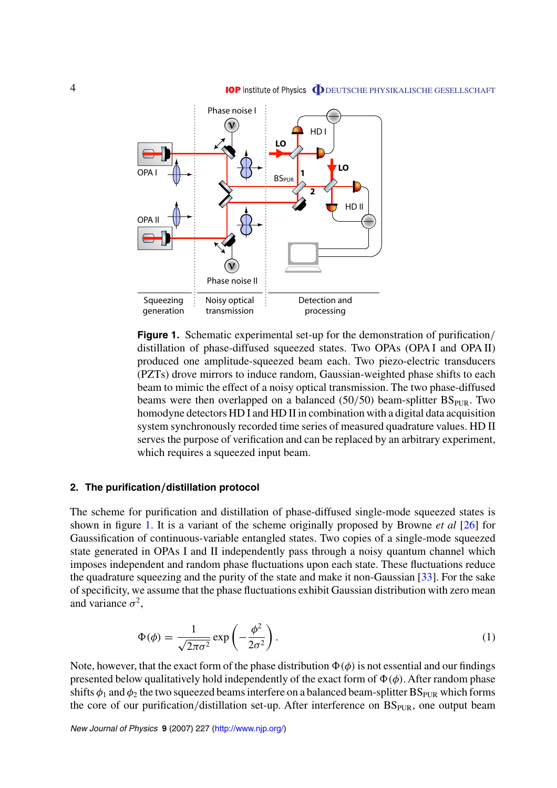<span id="page-3-0"></span>

**Figure 1.** Schematic experimental set-up for the demonstration of purification*/* distillation of phase-diffused squeezed states. Two OPAs (OPA I and OPA II) produced one amplitude-squeezed beam each. Two piezo-electric transducers (PZTs) drove mirrors to induce random, Gaussian-weighted phase shifts to each beam to mimic the effect of a noisy optical transmission. The two phase-diffused beams were then overlapped on a balanced (50/50) beam-splitter BS<sub>PUR</sub>. Two homodyne detectors HD I and HD II in combination with a digital data acquisition system synchronously recorded time series of measured quadrature values. HD II serves the purpose of verification and can be replaced by an arbitrary experiment, which requires a squeezed input beam.

#### **2. The purification***/***distillation protocol**

The scheme for purification and distillation of phase-diffused single-mode squeezed states is shown in figure 1. It is a variant of the scheme originally proposed by Browne *et al* [\[26](#page-16-0)] for Gaussification of continuous-variable entangled states. Two copies of a single-mode squeezed state generated in OPAs I and II independently pass through a noisy quantum channel which imposes independent and random phase fluctuations upon each state. These fluctuations reduce the quadrature squeezing and the purity of the state and make it non-Gaussian [\[33](#page-16-0)]. For the sake of specificity, we assume that the phase fluctuations exhibit Gaussian distribution with zero mean and variance  $\sigma^2$ ,

$$
\Phi(\phi) = \frac{1}{\sqrt{2\pi\sigma^2}} \exp\left(-\frac{\phi^2}{2\sigma^2}\right). \tag{1}
$$

Note, however, that the exact form of the phase distribution  $\Phi(\phi)$  is not essential and our findings presented below qualitatively hold independently of the exact form of  $\Phi(\phi)$ . After random phase shifts  $\phi_1$  and  $\phi_2$  the two squeezed beams interfere on a balanced beam-splitter BS<sub>PUR</sub> which forms the core of our purification/distillation set-up. After interference on BS<sub>PUR</sub>, one output beam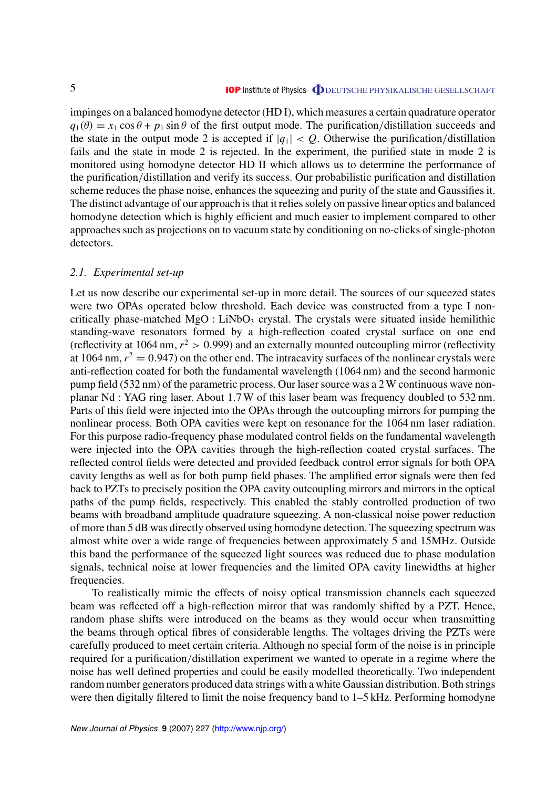<span id="page-4-0"></span>impinges on a balanced homodyne detector (HD I), which measures a certain quadrature operator  $q_1(\theta) = x_1 \cos \theta + p_1 \sin \theta$  of the first output mode. The purification/distillation succeeds and the state in the output mode 2 is accepted if  $|q_1| < Q$ . Otherwise the purification/distillation fails and the state in mode 2 is rejected. In the experiment, the purified state in mode 2 is monitored using homodyne detector HD II which allows us to determine the performance of the purification*/*distillation and verify its success. Our probabilistic purification and distillation scheme reduces the phase noise, enhances the squeezing and purity of the state and Gaussifies it. The distinct advantage of our approach is that it relies solely on passive linear optics and balanced homodyne detection which is highly efficient and much easier to implement compared to other approaches such as projections on to vacuum state by conditioning on no-clicks of single-photon detectors.

#### *2.1. Experimental set-up*

Let us now describe our experimental set-up in more detail. The sources of our squeezed states were two OPAs operated below threshold. Each device was constructed from a type I noncritically phase-matched  $MgO$ : LiNbO<sub>3</sub> crystal. The crystals were situated inside hemilithic standing-wave resonators formed by a high-reflection coated crystal surface on one end (reflectivity at 1064 nm,  $r^2 > 0.999$ ) and an externally mounted outcoupling mirror (reflectivity at 1064 nm,  $r^2 = 0.947$ ) on the other end. The intracavity surfaces of the nonlinear crystals were anti-reflection coated for both the fundamental wavelength (1064 nm) and the second harmonic pump field (532 nm) of the parametric process. Our laser source was a 2 W continuous wave nonplanar Nd : YAG ring laser. About 1*.*7 W of this laser beam was frequency doubled to 532 nm. Parts of this field were injected into the OPAs through the outcoupling mirrors for pumping the nonlinear process. Both OPA cavities were kept on resonance for the 1064 nm laser radiation. For this purpose radio-frequency phase modulated control fields on the fundamental wavelength were injected into the OPA cavities through the high-reflection coated crystal surfaces. The reflected control fields were detected and provided feedback control error signals for both OPA cavity lengths as well as for both pump field phases. The amplified error signals were then fed back to PZTs to precisely position the OPA cavity outcoupling mirrors and mirrors in the optical paths of the pump fields, respectively. This enabled the stably controlled production of two beams with broadband amplitude quadrature squeezing. A non-classical noise power reduction of more than 5 dB was directly observed using homodyne detection. The squeezing spectrum was almost white over a wide range of frequencies between approximately 5 and 15MHz. Outside this band the performance of the squeezed light sources was reduced due to phase modulation signals, technical noise at lower frequencies and the limited OPA cavity linewidths at higher frequencies.

To realistically mimic the effects of noisy optical transmission channels each squeezed beam was reflected off a high-reflection mirror that was randomly shifted by a PZT. Hence, random phase shifts were introduced on the beams as they would occur when transmitting the beams through optical fibres of considerable lengths. The voltages driving the PZTs were carefully produced to meet certain criteria. Although no special form of the noise is in principle required for a purification*/*distillation experiment we wanted to operate in a regime where the noise has well defined properties and could be easily modelled theoretically. Two independent random number generators produced data strings with a white Gaussian distribution. Both strings were then digitally filtered to limit the noise frequency band to 1–5 kHz. Performing homodyne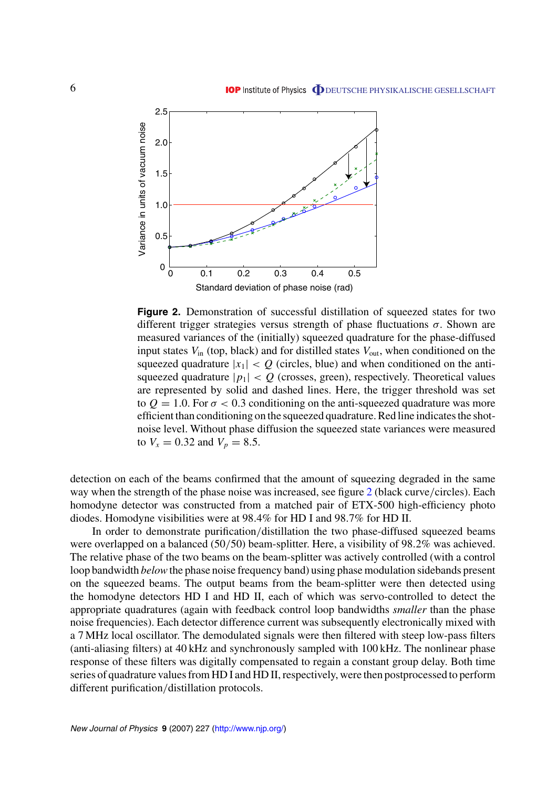<span id="page-5-0"></span>

**Figure 2.** Demonstration of successful distillation of squeezed states for two different trigger strategies versus strength of phase fluctuations *σ*. Shown are measured variances of the (initially) squeezed quadrature for the phase-diffused input states  $V_{in}$  (top, black) and for distilled states  $V_{out}$ , when conditioned on the squeezed quadrature  $|x_1| < Q$  (circles, blue) and when conditioned on the antisqueezed quadrature  $|p_1| < Q$  (crosses, green), respectively. Theoretical values are represented by solid and dashed lines. Here, the trigger threshold was set to  $Q = 1.0$ . For  $\sigma < 0.3$  conditioning on the anti-squeezed quadrature was more efficient than conditioning on the squeezed quadrature. Red line indicates the shotnoise level. Without phase diffusion the squeezed state variances were measured to  $V_x = 0.32$  and  $V_p = 8.5$ .

detection on each of the beams confirmed that the amount of squeezing degraded in the same way when the strength of the phase noise was increased, see figure 2 (black curve*/*circles). Each homodyne detector was constructed from a matched pair of ETX-500 high-efficiency photo diodes. Homodyne visibilities were at 98*.*4% for HD I and 98*.*7% for HD II.

In order to demonstrate purification*/*distillation the two phase-diffused squeezed beams were overlapped on a balanced (50*/*50) beam-splitter. Here, a visibility of 98*.*2% was achieved. The relative phase of the two beams on the beam-splitter was actively controlled (with a control loop bandwidth *below* the phase noise frequency band) using phase modulation sidebands present on the squeezed beams. The output beams from the beam-splitter were then detected using the homodyne detectors HD I and HD II, each of which was servo-controlled to detect the appropriate quadratures (again with feedback control loop bandwidths *smaller* than the phase noise frequencies). Each detector difference current was subsequently electronically mixed with a 7 MHz local oscillator. The demodulated signals were then filtered with steep low-pass filters (anti-aliasing filters) at 40 kHz and synchronously sampled with 100 kHz. The nonlinear phase response of these filters was digitally compensated to regain a constant group delay. Both time series of quadrature values from HD I and HD II, respectively, were then postprocessed to perform different purification*/*distillation protocols.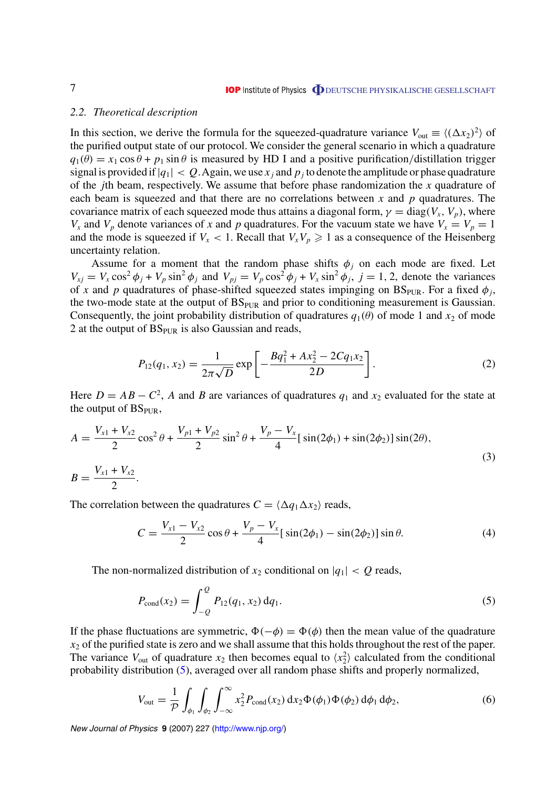#### <span id="page-6-0"></span>*2.2. Theoretical description*

In this section, we derive the formula for the squeezed-quadrature variance  $V_{\text{out}} \equiv \langle (\Delta x_2)^2 \rangle$  of the purified output state of our protocol. We consider the general scenario in which a quadrature  $q_1(\theta) = x_1 \cos \theta + p_1 \sin \theta$  is measured by HD I and a positive purification/distillation trigger signal is provided if  $|q_1| < Q$ . Again, we use  $x_j$  and  $p_j$  to denote the amplitude or phase quadrature of the *j*th beam, respectively. We assume that before phase randomization the *x* quadrature of each beam is squeezed and that there are no correlations between *x* and *p* quadratures. The covariance matrix of each squeezed mode thus attains a diagonal form,  $\gamma = \text{diag}(V_x, V_y)$ , where  $V_x$  and  $V_p$  denote variances of *x* and *p* quadratures. For the vacuum state we have  $V_x = V_p = 1$ and the mode is squeezed if  $V_x < 1$ . Recall that  $V_xV_p \ge 1$  as a consequence of the Heisenberg uncertainty relation.

Assume for a moment that the random phase shifts  $\phi_i$  on each mode are fixed. Let  $V_{xj} = V_x \cos^2 \phi_j + V_p \sin^2 \phi_j$  and  $V_{pj} = V_p \cos^2 \phi_j + V_x \sin^2 \phi_j$ ,  $j = 1, 2$ , denote the variances of *x* and *p* quadratures of phase-shifted squeezed states impinging on  $BS_{PIR}$ . For a fixed  $\phi_i$ , the two-mode state at the output of  $BS<sub>PUR</sub>$  and prior to conditioning measurement is Gaussian. Consequently, the joint probability distribution of quadratures  $q_1(\theta)$  of mode 1 and  $x_2$  of mode 2 at the output of  $BS<sub>PUR</sub>$  is also Gaussian and reads,

$$
P_{12}(q_1, x_2) = \frac{1}{2\pi\sqrt{D}} \exp\left[-\frac{Bq_1^2 + Ax_2^2 - 2Cq_1x_2}{2D}\right].
$$
 (2)

Here  $D = AB - C^2$ , *A* and *B* are variances of quadratures  $q_1$  and  $x_2$  evaluated for the state at the output of  $BS<sub>PUR</sub>$ ,

$$
A = \frac{V_{x1} + V_{x2}}{2} \cos^2 \theta + \frac{V_{p1} + V_{p2}}{2} \sin^2 \theta + \frac{V_p - V_x}{4} [\sin(2\phi_1) + \sin(2\phi_2)] \sin(2\theta),
$$
  
\n
$$
B = \frac{V_{x1} + V_{x2}}{2}.
$$
\n(3)

The correlation between the quadratures  $C = \langle \Delta q_1 \Delta x_2 \rangle$  reads,

$$
C = \frac{V_{x1} - V_{x2}}{2} \cos \theta + \frac{V_p - V_x}{4} [\sin(2\phi_1) - \sin(2\phi_2)] \sin \theta.
$$
 (4)

The non-normalized distribution of  $x_2$  conditional on  $|q_1| < Q$  reads,

$$
P_{\text{cond}}(x_2) = \int_{-Q}^{Q} P_{12}(q_1, x_2) \, dq_1. \tag{5}
$$

If the phase fluctuations are symmetric,  $\Phi(-\phi) = \Phi(\phi)$  then the mean value of the quadrature  $x_2$  of the purified state is zero and we shall assume that this holds throughout the rest of the paper. The variance  $V_{\text{out}}$  of quadrature  $x_2$  then becomes equal to  $\langle x_2^2 \rangle$  calculated from the conditional probability distribution (5), averaged over all random phase shifts and properly normalized,

$$
V_{\text{out}} = \frac{1}{P} \int_{\phi_1} \int_{\phi_2} \int_{-\infty}^{\infty} x_2^2 P_{\text{cond}}(x_2) \, dx_2 \Phi(\phi_1) \Phi(\phi_2) \, d\phi_1 \, d\phi_2,\tag{6}
$$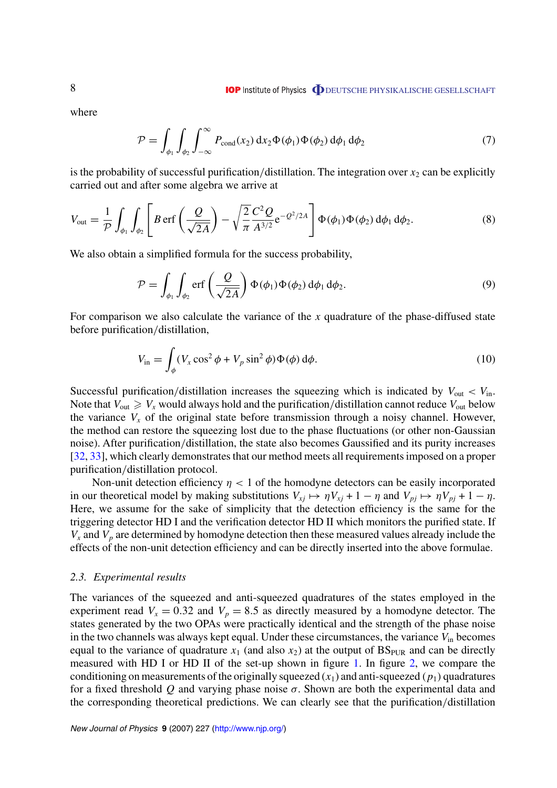<span id="page-7-0"></span>where

$$
\mathcal{P} = \int_{\phi_1} \int_{\phi_2} \int_{-\infty}^{\infty} P_{\text{cond}}(x_2) dx_2 \Phi(\phi_1) \Phi(\phi_2) d\phi_1 d\phi_2 \tag{7}
$$

is the probability of successful purification/distillation. The integration over  $x_2$  can be explicitly carried out and after some algebra we arrive at

$$
V_{\text{out}} = \frac{1}{\mathcal{P}} \int_{\phi_1} \int_{\phi_2} \left[ B \, \text{erf}\left(\frac{Q}{\sqrt{2A}}\right) - \sqrt{\frac{2}{\pi}} \frac{C^2 Q}{A^{3/2}} e^{-Q^2/2A} \right] \Phi(\phi_1) \Phi(\phi_2) \, d\phi_1 \, d\phi_2. \tag{8}
$$

We also obtain a simplified formula for the success probability,

$$
\mathcal{P} = \int_{\phi_1} \int_{\phi_2} \text{erf}\left(\frac{Q}{\sqrt{2A}}\right) \Phi(\phi_1) \Phi(\phi_2) d\phi_1 d\phi_2.
$$
\n(9)

For comparison we also calculate the variance of the *x* quadrature of the phase-diffused state before purification*/*distillation,

$$
V_{\text{in}} = \int_{\phi} (V_x \cos^2 \phi + V_p \sin^2 \phi) \Phi(\phi) d\phi.
$$
 (10)

Successful purification/distillation increases the squeezing which is indicated by  $V_{\text{out}} < V_{\text{in}}$ . Note that  $V_{\text{out}} \geq V_x$  would always hold and the purification/distillation cannot reduce  $V_{\text{out}}$  below the variance  $V_x$  of the original state before transmission through a noisy channel. However, the method can restore the squeezing lost due to the phase fluctuations (or other non-Gaussian noise). After purification*/*distillation, the state also becomes Gaussified and its purity increases [[32,](#page-16-0) [33](#page-16-0)], which clearly demonstrates that our method meets all requirements imposed on a proper purification*/*distillation protocol.

Non-unit detection efficiency  $\eta$  < 1 of the homodyne detectors can be easily incorporated in our theoretical model by making substitutions  $V_{xj} \mapsto \eta V_{xj} + 1 - \eta$  and  $V_{pj} \mapsto \eta V_{pj} + 1 - \eta$ . Here, we assume for the sake of simplicity that the detection efficiency is the same for the triggering detector HD I and the verification detector HD II which monitors the purified state. If  $V_x$  and  $V_p$  are determined by homodyne detection then these measured values already include the effects of the non-unit detection efficiency and can be directly inserted into the above formulae.

#### *2.3. Experimental results*

The variances of the squeezed and anti-squeezed quadratures of the states employed in the experiment read  $V_x = 0.32$  and  $V_p = 8.5$  as directly measured by a homodyne detector. The states generated by the two OPAs were practically identical and the strength of the phase noise in the two channels was always kept equal. Under these circumstances, the variance *V*in becomes equal to the variance of quadrature  $x_1$  (and also  $x_2$ ) at the output of  $BS_{PUR}$  and can be directly measured with HD I or HD II of the set-up shown in figure [1](#page-3-0). In figure [2](#page-5-0), we compare the conditioning on measurements of the originally squeezed  $(x_1)$  and anti-squeezed  $(p_1)$  quadratures for a fixed threshold *Q* and varying phase noise *σ*. Shown are both the experimental data and the corresponding theoretical predictions. We can clearly see that the purification*/*distillation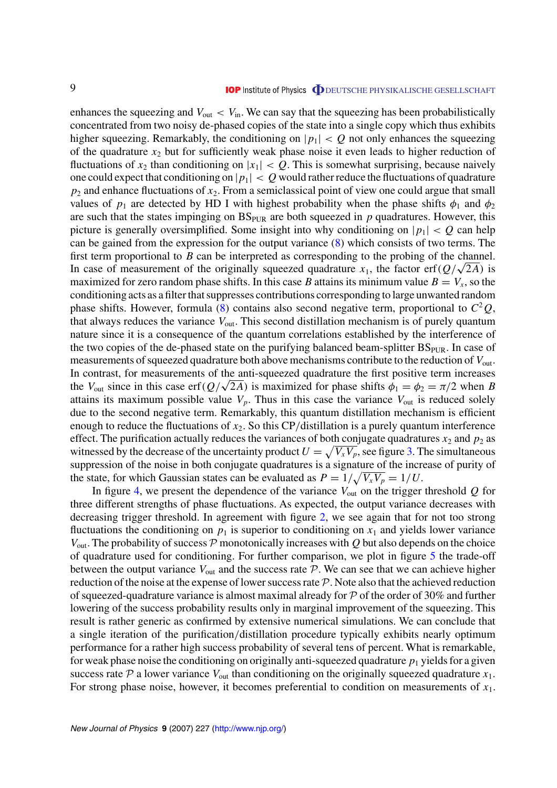enhances the squeezing and  $V_{\text{out}} < V_{\text{in}}$ . We can say that the squeezing has been probabilistically concentrated from two noisy de-phased copies of the state into a single copy which thus exhibits higher squeezing. Remarkably, the conditioning on  $|p_1| < Q$  not only enhances the squeezing of the quadrature *x*<sup>2</sup> but for sufficiently weak phase noise it even leads to higher reduction of fluctuations of  $x_2$  than conditioning on  $|x_1| < Q$ . This is somewhat surprising, because naively one could expect that conditioning on  $|p_1| < Q$  would rather reduce the fluctuations of quadrature  $p_2$  and enhance fluctuations of  $x_2$ . From a semiclassical point of view one could argue that small values of  $p_1$  are detected by HD I with highest probability when the phase shifts  $\phi_1$  and  $\phi_2$ are such that the states impinging on  $BS<sub>PUR</sub>$  are both squeezed in  $p$  quadratures. However, this picture is generally oversimplified. Some insight into why conditioning on  $|p_1| < Q$  can help can be gained from the expression for the output variance ([8\)](#page-7-0) which consists of two terms. The first term proportional to *B* can be interpreted as corresponding to the probing of the channel. In case of measurement of the originally squeezed quadrature  $x_1$ , the factor erf $(Q/\sqrt{2A})$  is maximized for zero random phase shifts. In this case *B* attains its minimum value  $B = V_x$ , so the conditioning acts as a filter that suppresses contributions corresponding to large unwanted random phase shifts. However, formula ([8\)](#page-7-0) contains also second negative term, proportional to  $C^2Q$ , that always reduces the variance *V*out. This second distillation mechanism is of purely quantum nature since it is a consequence of the quantum correlations established by the interference of the two copies of the de-phased state on the purifying balanced beam-splitter  $BS<sub>PUR</sub>$ . In case of measurements of squeezed quadrature both above mechanisms contribute to the reduction of  $V_{\text{out}}$ . In contrast, for measurements of the anti-squeezed quadrature the first positive term increases the *V*<sub>out</sub> since in this case erf( $Q/\sqrt{2}$ *A*) is maximized for phase shifts  $\phi_1 = \phi_2 = \pi/2$  when *B* attains its maximum possible value  $V_p$ . Thus in this case the variance  $V_{\text{out}}$  is reduced solely due to the second negative term. Remarkably, this quantum distillation mechanism is efficient enough to reduce the fluctuations of *x*2. So this CP*/*distillation is a purely quantum interference effect. The purification actually reduces the variances of both conjugate quadratures  $x_2$  and  $p_2$  as witnessed by the decrease of the uncertainty product  $U = \sqrt{V_x V_p}$ , see figure [3](#page-9-0). The simultaneous suppression of the noise in both conjugate quadratures is a signature of the increase of purity of the state, for which Gaussian states can be evaluated as  $P = 1/\sqrt{V_x V_p} = 1/U$ .

In figure [4](#page-9-0), we present the dependence of the variance  $V_{\text{out}}$  on the trigger threshold  $Q$  for three different strengths of phase fluctuations. As expected, the output variance decreases with decreasing trigger threshold. In agreement with figure [2,](#page-5-0) we see again that for not too strong fluctuations the conditioning on  $p_1$  is superior to conditioning on  $x_1$  and yields lower variance  $V_{\text{out}}$ . The probability of success P monotonically increases with Q but also depends on the choice of quadrature used for conditioning. For further comparison, we plot in figure [5](#page-10-0) the trade-off between the output variance  $V_{\text{out}}$  and the success rate  $P$ . We can see that we can achieve higher reduction of the noise at the expense of lower success rate  $P$ . Note also that the achieved reduction of squeezed-quadrature variance is almost maximal already for  $P$  of the order of 30% and further lowering of the success probability results only in marginal improvement of the squeezing. This result is rather generic as confirmed by extensive numerical simulations. We can conclude that a single iteration of the purification*/*distillation procedure typically exhibits nearly optimum performance for a rather high success probability of several tens of percent. What is remarkable, for weak phase noise the conditioning on originally anti-squeezed quadrature  $p_1$  yields for a given success rate  $P$  a lower variance  $V_{\text{out}}$  than conditioning on the originally squeezed quadrature  $x_1$ . For strong phase noise, however, it becomes preferential to condition on measurements of *x*1.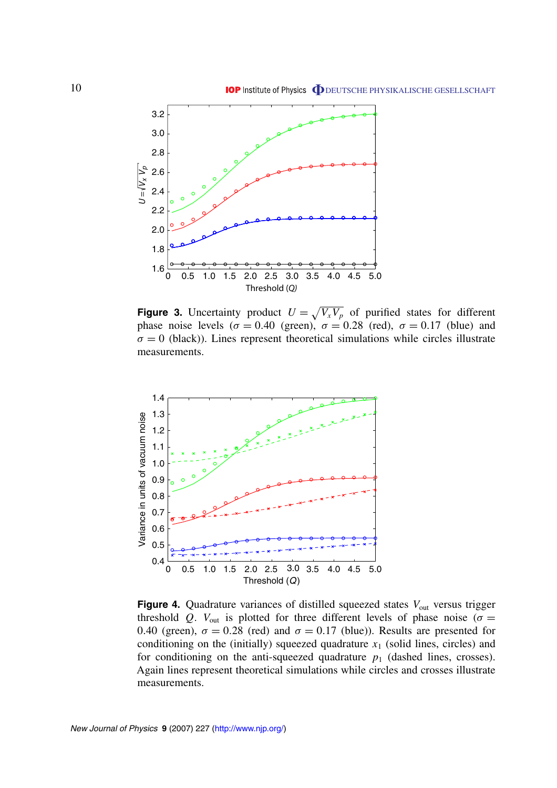<span id="page-9-0"></span>

**Figure 3.** Uncertainty product  $U = \sqrt{V_x V_p}$  of purified states for different phase noise levels ( $\sigma = 0.40$  (green),  $\sigma = 0.28$  (red),  $\sigma = 0.17$  (blue) and  $\sigma = 0$  (black)). Lines represent theoretical simulations while circles illustrate measurements.



**Figure 4.** Quadrature variances of distilled squeezed states  $V_{\text{out}}$  versus trigger threshold *Q*.  $V_{\text{out}}$  is plotted for three different levels of phase noise ( $\sigma =$ 0.40 (green),  $\sigma = 0.28$  (red) and  $\sigma = 0.17$  (blue)). Results are presented for conditioning on the (initially) squeezed quadrature  $x_1$  (solid lines, circles) and for conditioning on the anti-squeezed quadrature  $p_1$  (dashed lines, crosses). Again lines represent theoretical simulations while circles and crosses illustrate measurements.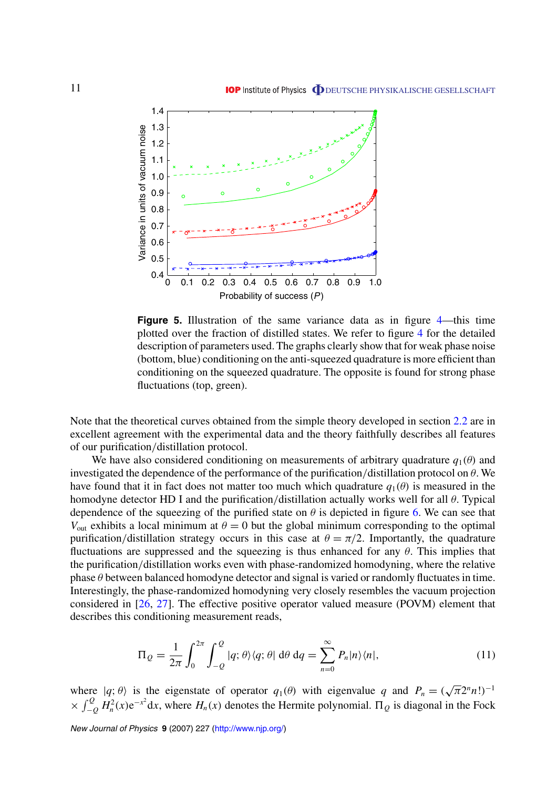<span id="page-10-0"></span>

**Figure 5.** Illustration of the same variance data as in figure [4](#page-9-0)—this time plotted over the fraction of distilled states. We refer to figure [4](#page-9-0) for the detailed description of parameters used. The graphs clearly show that for weak phase noise (bottom, blue) conditioning on the anti-squeezed quadrature is more efficient than conditioning on the squeezed quadrature. The opposite is found for strong phase fluctuations (top, green).

Note that the theoretical curves obtained from the simple theory developed in section [2.2](#page-6-0) are in excellent agreement with the experimental data and the theory faithfully describes all features of our purification*/*distillation protocol.

We have also considered conditioning on measurements of arbitrary quadrature  $q_1(\theta)$  and investigated the dependence of the performance of the purification*/*distillation protocol on *θ*. We have found that it in fact does not matter too much which quadrature  $q_1(\theta)$  is measured in the homodyne detector HD I and the purification*/*distillation actually works well for all *θ*. Typical dependence of the squeezing of the purified state on  $\theta$  is depicted in figure [6.](#page-11-0) We can see that *V*<sub>out</sub> exhibits a local minimum at  $\theta = 0$  but the global minimum corresponding to the optimal purification/distillation strategy occurs in this case at  $\theta = \pi/2$ . Importantly, the quadrature fluctuations are suppressed and the squeezing is thus enhanced for any *θ*. This implies that the purification*/*distillation works even with phase-randomized homodyning, where the relative phase *θ* between balanced homodyne detector and signal is varied or randomly fluctuates in time. Interestingly, the phase-randomized homodyning very closely resembles the vacuum projection considered in [\[26](#page-16-0), [27](#page-16-0)]. The effective positive operator valued measure (POVM) element that describes this conditioning measurement reads,

$$
\Pi_{Q} = \frac{1}{2\pi} \int_{0}^{2\pi} \int_{-Q}^{Q} |q; \theta\rangle\langle q; \theta| d\theta dq = \sum_{n=0}^{\infty} P_{n} |n\rangle\langle n|,
$$
\n(11)

where  $|q; \theta\rangle$  is the eigenstate of operator  $q_1(\theta)$  with eigenvalue q and  $P_n = (\sqrt{\pi}2^n n!)^{-1}$  $\times \int_{-Q}^{Q} H_n^2(x) e^{-x^2} dx$ , where  $H_n(x)$  denotes the Hermite polynomial.  $\Pi_Q$  is diagonal in the Fock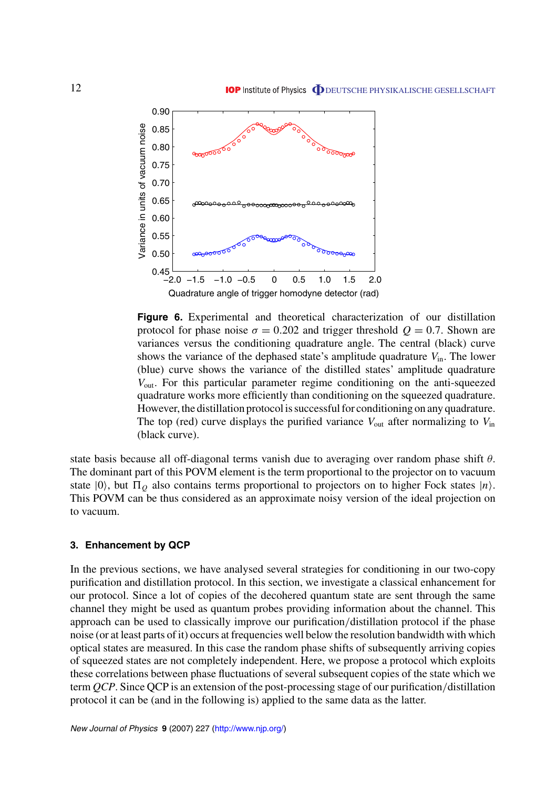<span id="page-11-0"></span>

**Figure 6.** Experimental and theoretical characterization of our distillation protocol for phase noise  $\sigma = 0.202$  and trigger threshold  $Q = 0.7$ . Shown are variances versus the conditioning quadrature angle. The central (black) curve shows the variance of the dephased state's amplitude quadrature  $V_{\text{in}}$ . The lower (blue) curve shows the variance of the distilled states' amplitude quadrature *V*out. For this particular parameter regime conditioning on the anti-squeezed quadrature works more efficiently than conditioning on the squeezed quadrature. However, the distillation protocol is successful for conditioning on any quadrature. The top (red) curve displays the purified variance  $V_{\text{out}}$  after normalizing to  $V_{\text{in}}$ (black curve).

state basis because all off-diagonal terms vanish due to averaging over random phase shift *θ*. The dominant part of this POVM element is the term proportional to the projector on to vacuum state  $|0\rangle$ , but  $\Pi_{Q}$  also contains terms proportional to projectors on to higher Fock states  $|n\rangle$ . This POVM can be thus considered as an approximate noisy version of the ideal projection on to vacuum.

#### **3. Enhancement by QCP**

In the previous sections, we have analysed several strategies for conditioning in our two-copy purification and distillation protocol. In this section, we investigate a classical enhancement for our protocol. Since a lot of copies of the decohered quantum state are sent through the same channel they might be used as quantum probes providing information about the channel. This approach can be used to classically improve our purification*/*distillation protocol if the phase noise (or at least parts of it) occurs at frequencies well below the resolution bandwidth with which optical states are measured. In this case the random phase shifts of subsequently arriving copies of squeezed states are not completely independent. Here, we propose a protocol which exploits these correlations between phase fluctuations of several subsequent copies of the state which we term *QCP*. Since QCP is an extension of the post-processing stage of our purification*/*distillation protocol it can be (and in the following is) applied to the same data as the latter.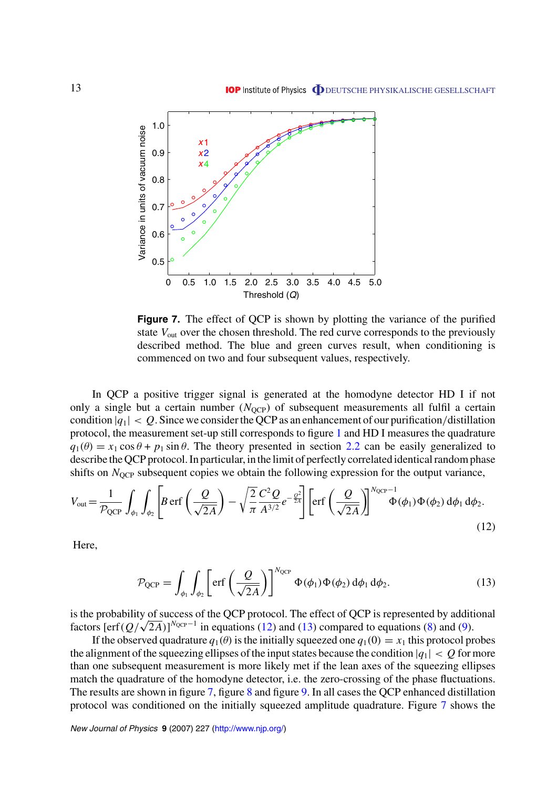<span id="page-12-0"></span>

**Figure 7.** The effect of QCP is shown by plotting the variance of the purified state  $V_{\text{out}}$  over the chosen threshold. The red curve corresponds to the previously described method. The blue and green curves result, when conditioning is commenced on two and four subsequent values, respectively.

In QCP a positive trigger signal is generated at the homodyne detector HD I if not only a single but a certain number  $(N<sub>QCP</sub>)$  of subsequent measurements all fulfil a certain condition  $|q_1| < Q$ . Since we consider the QCP as an enhancement of our purification/distillation protocol, the measurement set-up still corresponds to figure [1](#page-3-0) and HD I measures the quadrature  $q_1(\theta) = x_1 \cos \theta + p_1 \sin \theta$ . The theory presented in section [2.2](#page-6-0) can be easily generalized to describe the QCP protocol. In particular, in the limit of perfectly correlated identical random phase shifts on *N*<sub>OCP</sub> subsequent copies we obtain the following expression for the output variance,

$$
V_{\text{out}} = \frac{1}{\mathcal{P}_{\text{QCP}}} \int_{\phi_1} \int_{\phi_2} \left[ B \operatorname{erf} \left( \frac{Q}{\sqrt{2A}} \right) - \sqrt{\frac{2}{\pi}} \frac{C^2 Q}{A^{3/2}} e^{-\frac{Q^2}{2A}} \right] \left[ \operatorname{erf} \left( \frac{Q}{\sqrt{2A}} \right) \right]^{N_{\text{QCP}} - 1} \Phi(\phi_1) \Phi(\phi_2) d\phi_1 d\phi_2. \tag{12}
$$

Here,

$$
\mathcal{P}_{QCP} = \int_{\phi_1} \int_{\phi_2} \left[ erf \left( \frac{Q}{\sqrt{2A}} \right) \right]^{N_{QCP}} \Phi(\phi_1) \Phi(\phi_2) d\phi_1 d\phi_2.
$$
 (13)

is the probability of success of the QCP protocol. The effect of QCP is represented by additional factors  $\left[\text{erf}(Q/\sqrt{2A})\right]^{N_{\text{QCP}}-1}$  in equations (12) and (13) compared to equations [\(8](#page-7-0)) and ([9\)](#page-7-0).

If the observed quadrature  $q_1(\theta)$  is the initially squeezed one  $q_1(0) = x_1$  this protocol probes the alignment of the squeezing ellipses of the input states because the condition  $|q_1| < Q$  for more than one subsequent measurement is more likely met if the lean axes of the squeezing ellipses match the quadrature of the homodyne detector, i.e. the zero-crossing of the phase fluctuations. The results are shown in figure 7, figure [8](#page-13-0) and figure [9.](#page-14-0) In all cases the QCP enhanced distillation protocol was conditioned on the initially squeezed amplitude quadrature. Figure 7 shows the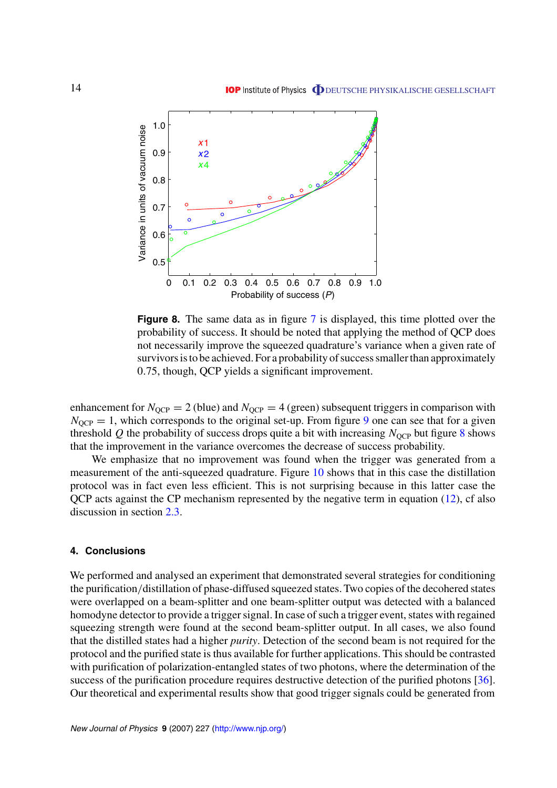<span id="page-13-0"></span>

**Figure 8.** The same data as in figure [7](#page-12-0) is displayed, this time plotted over the probability of success. It should be noted that applying the method of QCP does not necessarily improve the squeezed quadrature's variance when a given rate of survivors is to be achieved. For a probability of success smaller than approximately 0*.*75, though, QCP yields a significant improvement.

enhancement for  $N_{QCP} = 2$  (blue) and  $N_{QCP} = 4$  (green) subsequent triggers in comparison with  $N<sub>OCP</sub> = 1$ , which corresponds to the original set-up. From figure [9](#page-14-0) one can see that for a given threshold  $Q$  the probability of success drops quite a bit with increasing  $N<sub>OCP</sub>$  but figure 8 shows that the improvement in the variance overcomes the decrease of success probability.

We emphasize that no improvement was found when the trigger was generated from a measurement of the anti-squeezed quadrature. Figure [10](#page-14-0) shows that in this case the distillation protocol was in fact even less efficient. This is not surprising because in this latter case the QCP acts against the CP mechanism represented by the negative term in equation [\(12](#page-12-0)), cf also discussion in section [2.3.](#page-7-0)

#### **4. Conclusions**

We performed and analysed an experiment that demonstrated several strategies for conditioning the purification*/*distillation of phase-diffused squeezed states. Two copies of the decohered states were overlapped on a beam-splitter and one beam-splitter output was detected with a balanced homodyne detector to provide a trigger signal. In case of such a trigger event, states with regained squeezing strength were found at the second beam-splitter output. In all cases, we also found that the distilled states had a higher *purity*. Detection of the second beam is not required for the protocol and the purified state is thus available for further applications. This should be contrasted with purification of polarization-entangled states of two photons, where the determination of the success of the purification procedure requires destructive detection of the purified photons [\[36](#page-16-0)]. Our theoretical and experimental results show that good trigger signals could be generated from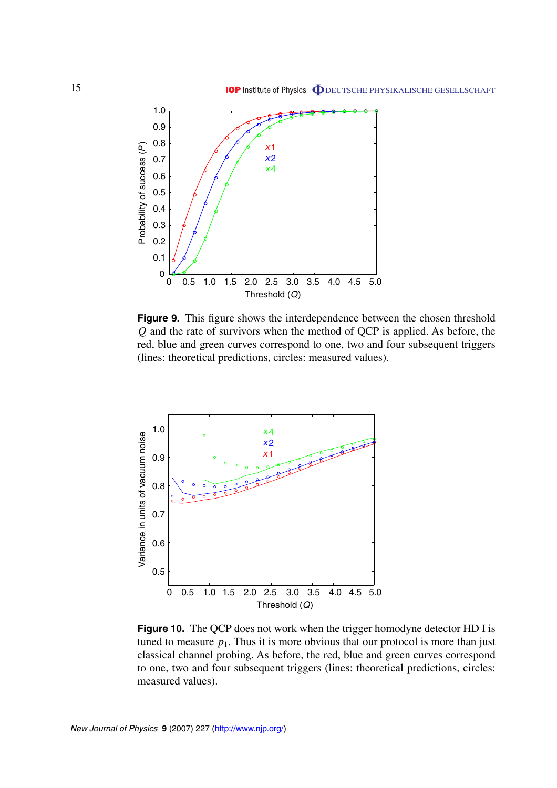<span id="page-14-0"></span>

**Figure 9.** This figure shows the interdependence between the chosen threshold *Q* and the rate of survivors when the method of QCP is applied. As before, the red, blue and green curves correspond to one, two and four subsequent triggers (lines: theoretical predictions, circles: measured values).



**Figure 10.** The QCP does not work when the trigger homodyne detector HD I is tuned to measure  $p_1$ . Thus it is more obvious that our protocol is more than just classical channel probing. As before, the red, blue and green curves correspond to one, two and four subsequent triggers (lines: theoretical predictions, circles: measured values).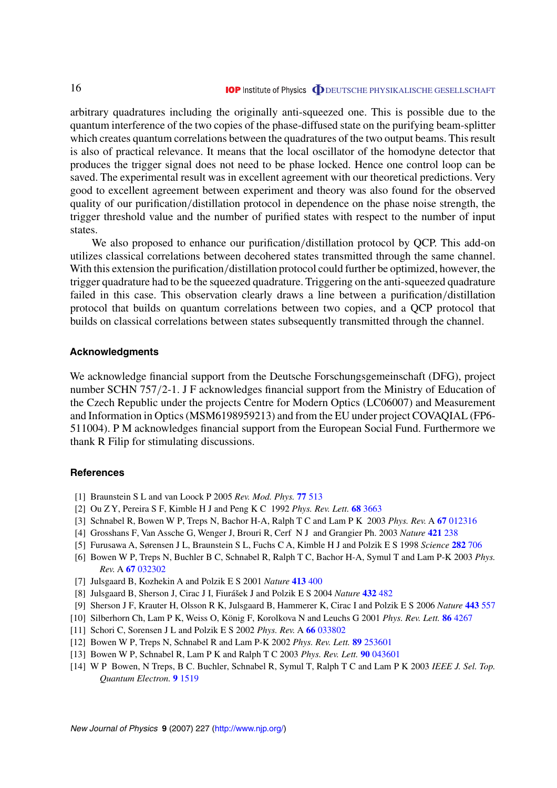<span id="page-15-0"></span>arbitrary quadratures including the originally anti-squeezed one. This is possible due to the quantum interference of the two copies of the phase-diffused state on the purifying beam-splitter which creates quantum correlations between the quadratures of the two output beams. This result is also of practical relevance. It means that the local oscillator of the homodyne detector that produces the trigger signal does not need to be phase locked. Hence one control loop can be saved. The experimental result was in excellent agreement with our theoretical predictions. Very good to excellent agreement between experiment and theory was also found for the observed quality of our purification*/*distillation protocol in dependence on the phase noise strength, the trigger threshold value and the number of purified states with respect to the number of input states.

We also proposed to enhance our purification*/*distillation protocol by QCP. This add-on utilizes classical correlations between decohered states transmitted through the same channel. With this extension the purification*/*distillation protocol could further be optimized, however, the trigger quadrature had to be the squeezed quadrature. Triggering on the anti-squeezed quadrature failed in this case. This observation clearly draws a line between a purification*/*distillation protocol that builds on quantum correlations between two copies, and a QCP protocol that builds on classical correlations between states subsequently transmitted through the channel.

#### **Acknowledgments**

We acknowledge financial support from the Deutsche Forschungsgemeinschaft (DFG), project number SCHN 757*/*2-1. J F acknowledges financial support from the Ministry of Education of the Czech Republic under the projects Centre for Modern Optics (LC06007) and Measurement and Information in Optics (MSM6198959213) and from the EU under project COVAQIAL (FP6- 511004). P M acknowledges financial support from the European Social Fund. Furthermore we thank R Filip for stimulating discussions.

#### **References**

- [1] Braunstein S L and van Loock P 2005 *Rev. Mod. Phys.* **77** [513](http://dx.doi.org/10.1103/RevModPhys.77.513)
- [2] Ou Z Y, Pereira S F, Kimble H J and Peng K C 1992 *Phys. Rev. Lett.* **68** [3663](http://dx.doi.org/10.1103/PhysRevLett.68.3663)
- [3] Schnabel R, Bowen W P, Treps N, Bachor H-A, Ralph T C and Lam P K 2003 *Phys. Rev.* A **67** [012316](http://dx.doi.org/10.1103/PhysRevA.67.012316)
- [4] Grosshans F, Van Assche G, Wenger J, Brouri R, Cerf N J and Grangier Ph. 2003 *Nature* **[421](http://dx.doi.org/10.1038/nature01289)** 238
- [5] Furusawa A, Sørensen J L, Braunstein S L, Fuchs C A, Kimble H J and Polzik E S 1998 *Science* **282** [706](http://dx.doi.org/10.1126/science.282.5389.706)
- [6] Bowen W P, Treps N, Buchler B C, Schnabel R, Ralph T C, Bachor H-A, Symul T and Lam P-K 2003 *Phys. Rev.* A **67** [032302](http://dx.doi.org/10.1103/PhysRevA.67.032302)
- [7] Julsgaard B, Kozhekin A and Polzik E S 2001 *Nature* **[413](http://dx.doi.org/10.1038/35096524)** 400
- [8] Julsgaard B, Sherson J, Cirac J I, Fiurášek J and Polzik E S 2004 *Nature* [432](http://dx.doi.org/10.1038/nature03064) 482
- [9] Sherson J F, Krauter H, Olsson R K, Julsgaard B, Hammerer K, Cirac I and Polzik E S 2006 *Nature* **[443](http://dx.doi.org/10.1038/nature05136)** 557
- [10] Silberhorn Ch, Lam P K, Weiss O, König F, Korolkova N and Leuchs G 2001 *Phys. Rev. Lett.* **86** [4267](http://dx.doi.org/10.1103/PhysRevLett.86.4267)
- [11] Schori C, Sorensen J L and Polzik E S 2002 *Phys. Rev.* A **66** [033802](http://dx.doi.org/10.1103/PhysRevA.66.033802)
- [12] Bowen W P, Treps N, Schnabel R and Lam P-K 2002 *Phys. Rev. Lett.* **89** [253601](http://dx.doi.org/10.1103/PhysRevLett.89.253601)
- [13] Bowen W P, Schnabel R, Lam P K and Ralph T C 2003 *Phys. Rev. Lett.* **90** [043601](http://dx.doi.org/10.1103/PhysRevLett.90.043601)
- [14] W P Bowen, N Treps, B C. Buchler, Schnabel R, Symul T, Ralph T C and Lam P K 2003 *IEEE J. Sel. Top. Quantum Electron.* **9** [1519](http://dx.doi.org/10.1109/JSTQE.2003.820908)